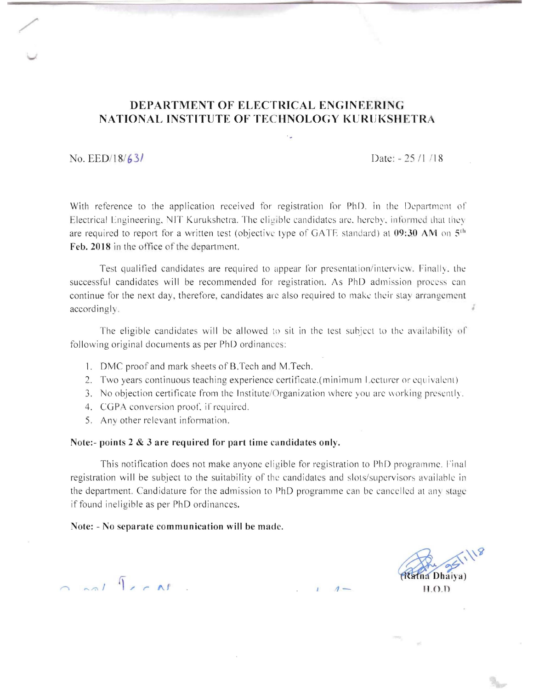### **DEPARTMENT OF ELECTRICAL ENGINEERING NATIONAL INSTIT1JTE OF TECHNOLOGY KURlJKSHETRA**

'.

No. EED/18/ **631** Date: - 25 /I 118

/'

T,

With reference to the application received for registration for PhD. in the Department of Electrical Engineering, NIT Kurukshetra. The eligible candidates arc. hereby, informed that they are required to report for a written test (objective type of GATF standard) at 09:30 AM on 5<sup>th</sup> Feb. 2018 in the office of the department.

Test qualified candidates are required to appear for presentation/intervicw. Finally, the successful candidates will be recommended for registration. As PhD admission process can continue for the next day, therefore, candidates are also required to make their stay arrangement accordingly.

The eligible candidates will be allowed to sit in the test subject to the availability of following original documents as per PhD ordinances:

- 1. DMC proof and mark sheets of B.Tech and M.Tech.
- 2. Two years continuous teaching experience certificate.(minimum Lecturer or equivalent)
- 3. No objection certificate from the Institute/Organization where you are working presently.
- 4. CGPA conversion proof, if required.
- 5. Any other relevant information.

#### **Note:- points 2 & 3 are required for part time candidates only.**

This notification does not make anyone eligible for registration to PhD programme. Final registration will be subject to the suitability of the candidates and slots/supervisors available in the department. Candidature for the admission to PhD programme can be cancelled at any stage if found ineligible as per PhD ordinances.

#### **Note: - No separate communication will be made.**

*<u>Ana Dhaiva</u>*  $H.O.D$ 

l / *r* **,,1 1**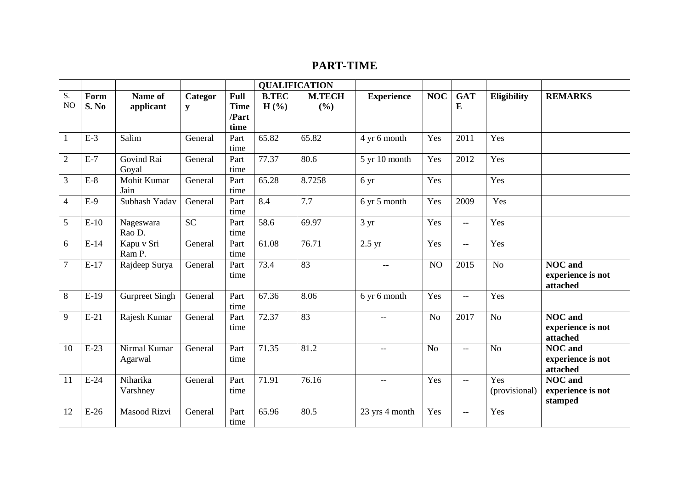## **PART-TIME**

|                |               |                         |              |                     | <b>QUALIFICATION</b> |                        |                   |                |                                     |                      |                                                 |
|----------------|---------------|-------------------------|--------------|---------------------|----------------------|------------------------|-------------------|----------------|-------------------------------------|----------------------|-------------------------------------------------|
| S.<br>NO       | Form<br>S. No | Name of<br>applicant    | Categor<br>y | Full<br><b>Time</b> | <b>B.TEC</b><br>H(%) | <b>M.TECH</b><br>(9/0) | <b>Experience</b> | <b>NOC</b>     | <b>GAT</b><br>E                     | <b>Eligibility</b>   | <b>REMARKS</b>                                  |
|                |               |                         |              | /Part<br>time       |                      |                        |                   |                |                                     |                      |                                                 |
|                | $E-3$         | Salim                   | General      | Part<br>time        | 65.82                | 65.82                  | 4 yr 6 month      | Yes            | 2011                                | Yes                  |                                                 |
| $\mathfrak{2}$ | $E-7$         | Govind Rai<br>Goyal     | General      | Part<br>time        | 77.37                | 80.6                   | 5 yr 10 month     | Yes            | 2012                                | Yes                  |                                                 |
| 3              | $E-8$         | Mohit Kumar<br>Jain     | General      | Part<br>time        | 65.28                | 8.7258                 | 6 yr              | Yes            |                                     | Yes                  |                                                 |
| 4              | $E-9$         | Subhash Yadav           | General      | Part<br>time        | 8.4                  | 7.7                    | 6 yr 5 month      | Yes            | 2009                                | Yes                  |                                                 |
| 5              | $E-10$        | Nageswara<br>Rao D.     | <b>SC</b>    | Part<br>time        | 58.6                 | 69.97                  | 3 yr              | Yes            | $\overline{\phantom{m}}$            | Yes                  |                                                 |
| 6              | $E-14$        | Kapu v Sri<br>Ram P.    | General      | Part<br>time        | 61.08                | 76.71                  | 2.5 yr            | Yes            | $\hspace{0.05cm}$ $\hspace{0.05cm}$ | Yes                  |                                                 |
| $\overline{7}$ | $E-17$        | Rajdeep Surya           | General      | Part<br>time        | 73.4                 | 83                     | $- -$             | NO             | 2015                                | No                   | <b>NOC</b> and<br>experience is not<br>attached |
| 8              | $E-19$        | <b>Gurpreet Singh</b>   | General      | Part<br>time        | 67.36                | 8.06                   | 6 yr 6 month      | Yes            | $--$                                | Yes                  |                                                 |
| 9              | $E-21$        | Rajesh Kumar            | General      | Part<br>time        | 72.37                | 83                     | $-$               | N <sub>o</sub> | 2017                                | No                   | <b>NOC</b> and<br>experience is not<br>attached |
| 10             | $E-23$        | Nirmal Kumar<br>Agarwal | General      | Part<br>time        | 71.35                | 81.2                   | $-$               | N <sub>o</sub> | $- -$                               | No                   | <b>NOC</b> and<br>experience is not<br>attached |
| 11             | $E-24$        | Niharika<br>Varshney    | General      | Part<br>time        | 71.91                | 76.16                  | $-$               | Yes            | $\hspace{0.05cm}$ $\hspace{0.05cm}$ | Yes<br>(provisional) | <b>NOC</b> and<br>experience is not<br>stamped  |
| 12             | $E-26$        | <b>Masood Rizvi</b>     | General      | Part<br>time        | 65.96                | 80.5                   | 23 yrs 4 month    | Yes            | $\hspace{0.05cm}$ $\hspace{0.05cm}$ | Yes                  |                                                 |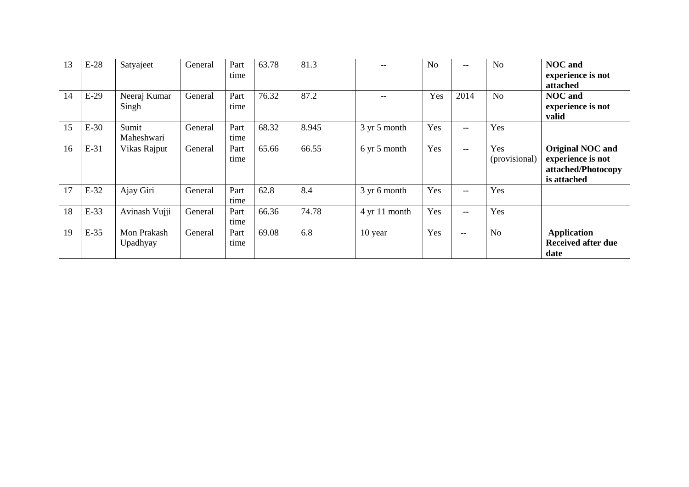| 13 | $E-28$ | Satyajeet               | General | Part<br>time | 63.78 | 81.3  |               | N <sub>o</sub> | $- -$                                 | N <sub>o</sub>       | <b>NOC</b> and<br>experience is not<br>attached                                   |
|----|--------|-------------------------|---------|--------------|-------|-------|---------------|----------------|---------------------------------------|----------------------|-----------------------------------------------------------------------------------|
| 14 | $E-29$ | Neeraj Kumar<br>Singh   | General | Part<br>time | 76.32 | 87.2  |               | Yes            | 2014                                  | N <sub>o</sub>       | <b>NOC</b> and<br>experience is not<br>valid                                      |
| 15 | $E-30$ | Sumit<br>Maheshwari     | General | Part<br>time | 68.32 | 8.945 | 3 yr 5 month  | Yes            | --                                    | Yes                  |                                                                                   |
| 16 | $E-31$ | Vikas Rajput            | General | Part<br>time | 65.66 | 66.55 | 6 yr 5 month  | Yes            | $\hspace{0.05cm}$ – $\hspace{0.05cm}$ | Yes<br>(provisional) | <b>Original NOC and</b><br>experience is not<br>attached/Photocopy<br>is attached |
| 17 | E-32   | Ajay Giri               | General | Part<br>time | 62.8  | 8.4   | 3 yr 6 month  | Yes            | --                                    | Yes                  |                                                                                   |
| 18 | E-33   | Avinash Vujji           | General | Part<br>time | 66.36 | 74.78 | 4 yr 11 month | Yes            | $- -$                                 | Yes                  |                                                                                   |
| 19 | $E-35$ | Mon Prakash<br>Upadhyay | General | Part<br>time | 69.08 | 6.8   | 10 year       | Yes            | $\qquad \qquad -$                     | N <sub>o</sub>       | <b>Application</b><br><b>Received after due</b><br>date                           |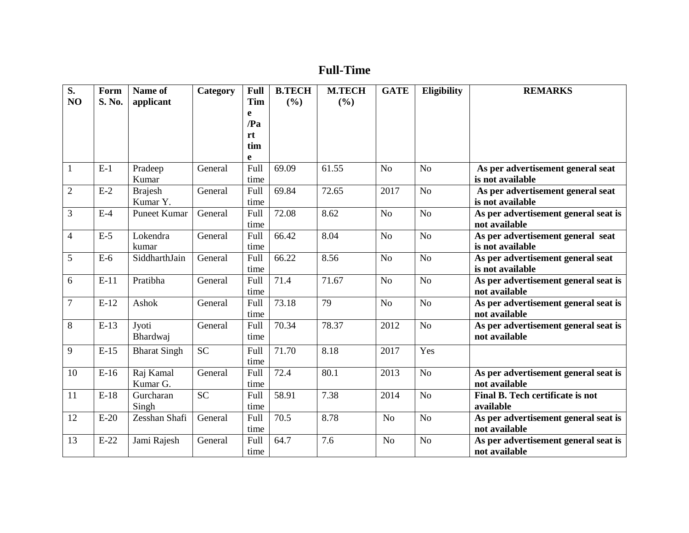# **Full-Time**

| S.<br>NO       | Form<br>S. No. | Name of<br>applicant       | Category  | Full<br><b>Tim</b><br>e<br>$\mathbf{Pa}$ | <b>B.TECH</b><br>(9/0) | <b>M.TECH</b><br>(%) | <b>GATE</b>    | <b>Eligibility</b> | <b>REMARKS</b>                                        |
|----------------|----------------|----------------------------|-----------|------------------------------------------|------------------------|----------------------|----------------|--------------------|-------------------------------------------------------|
|                |                |                            |           | rt<br>tim<br>e                           |                        |                      |                |                    |                                                       |
| $\mathbf{1}$   | $E-1$          | Pradeep<br>Kumar           | General   | Full<br>time                             | 69.09                  | 61.55                | N <sub>o</sub> | N <sub>o</sub>     | As per advertisement general seat<br>is not available |
| $\overline{2}$ | $E-2$          | <b>Brajesh</b><br>Kumar Y. | General   | Full<br>time                             | 69.84                  | 72.65                | 2017           | No                 | As per advertisement general seat<br>is not available |
| 3              | $E-4$          | <b>Puneet Kumar</b>        | General   | Full<br>time                             | 72.08                  | 8.62                 | N <sub>o</sub> | N <sub>o</sub>     | As per advertisement general seat is<br>not available |
| $\overline{4}$ | $E-5$          | Lokendra<br>kumar          | General   | Full<br>time                             | 66.42                  | 8.04                 | N <sub>o</sub> | N <sub>o</sub>     | As per advertisement general seat<br>is not available |
| 5              | $E-6$          | SiddharthJain              | General   | Full<br>time                             | 66.22                  | 8.56                 | N <sub>o</sub> | N <sub>o</sub>     | As per advertisement general seat<br>is not available |
| 6              | $E-11$         | Pratibha                   | General   | Full<br>time                             | 71.4                   | 71.67                | N <sub>o</sub> | N <sub>o</sub>     | As per advertisement general seat is<br>not available |
| $\overline{7}$ | $E-12$         | Ashok                      | General   | Full<br>time                             | 73.18                  | 79                   | N <sub>o</sub> | N <sub>o</sub>     | As per advertisement general seat is<br>not available |
| 8              | $E-13$         | Jyoti<br>Bhardwaj          | General   | Full<br>time                             | 70.34                  | 78.37                | 2012           | N <sub>o</sub>     | As per advertisement general seat is<br>not available |
| 9              | $E-15$         | <b>Bharat Singh</b>        | <b>SC</b> | Full<br>time                             | 71.70                  | 8.18                 | 2017           | Yes                |                                                       |
| 10             | $E-16$         | Raj Kamal<br>Kumar G.      | General   | Full<br>time                             | 72.4                   | 80.1                 | 2013           | N <sub>o</sub>     | As per advertisement general seat is<br>not available |
| 11             | $E-18$         | Gurcharan<br>Singh         | <b>SC</b> | Full<br>time                             | 58.91                  | 7.38                 | 2014           | N <sub>o</sub>     | Final B. Tech certificate is not<br>available         |
| 12             | $E-20$         | Zesshan Shafi              | General   | <b>Full</b><br>time                      | 70.5                   | 8.78                 | N <sub>o</sub> | N <sub>o</sub>     | As per advertisement general seat is<br>not available |
| 13             | $E-22$         | Jami Rajesh                | General   | Full<br>time                             | 64.7                   | 7.6                  | N <sub>o</sub> | N <sub>o</sub>     | As per advertisement general seat is<br>not available |